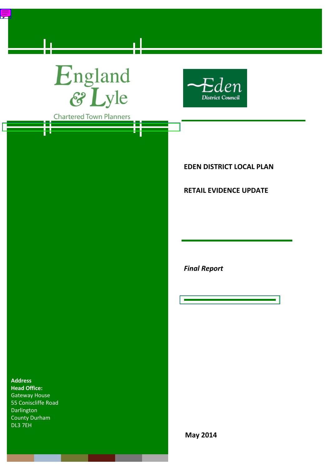# England<br>& Lyle

 $\equiv$ 



**Chartered Town Planners** 

₹

**EDEN DISTRICT LOCAL PLAN**

# **RETAIL EVIDENCE UPDATE**

*Final Report*

**Address Head Office:** Gateway House 55 Coniscliffe Road Darlington County Durham DL3 7EH

**May 2014**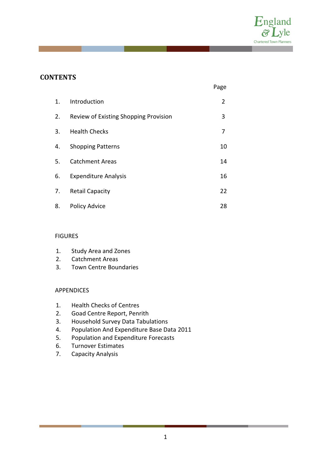

# **CONTENTS**

|    |                                       | Page           |
|----|---------------------------------------|----------------|
| 1. | Introduction                          | $\overline{2}$ |
| 2. | Review of Existing Shopping Provision | 3              |
| 3. | <b>Health Checks</b>                  | 7              |
| 4. | <b>Shopping Patterns</b>              | 10             |
| 5. | <b>Catchment Areas</b>                | 14             |
| 6. | <b>Expenditure Analysis</b>           | 16             |
| 7. | <b>Retail Capacity</b>                | 22             |
| 8. | Policy Advice                         | 28             |

## FIGURES

- 1. Study Area and Zones
- 2. Catchment Areas
- 3. Town Centre Boundaries

#### APPENDICES

- 1. Health Checks of Centres
- 2. Goad Centre Report, Penrith
- 3. Household Survey Data Tabulations
- 4. Population And Expenditure Base Data 2011
- 5. Population and Expenditure Forecasts
- 6. Turnover Estimates
- 7. Capacity Analysis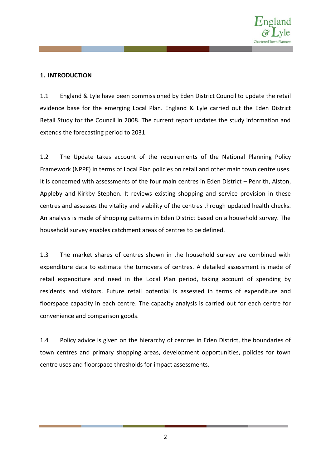

## **1. INTRODUCTION**

1.1 England & Lyle have been commissioned by Eden District Council to update the retail evidence base for the emerging Local Plan. England & Lyle carried out the Eden District Retail Study for the Council in 2008. The current report updates the study information and extends the forecasting period to 2031.

1.2 The Update takes account of the requirements of the National Planning Policy Framework (NPPF) in terms of Local Plan policies on retail and other main town centre uses. It is concerned with assessments of the four main centres in Eden District – Penrith, Alston, Appleby and Kirkby Stephen. It reviews existing shopping and service provision in these centres and assesses the vitality and viability of the centres through updated health checks. An analysis is made of shopping patterns in Eden District based on a household survey. The household survey enables catchment areas of centres to be defined.

1.3 The market shares of centres shown in the household survey are combined with expenditure data to estimate the turnovers of centres. A detailed assessment is made of retail expenditure and need in the Local Plan period, taking account of spending by residents and visitors. Future retail potential is assessed in terms of expenditure and floorspace capacity in each centre. The capacity analysis is carried out for each centre for convenience and comparison goods.

1.4 Policy advice is given on the hierarchy of centres in Eden District, the boundaries of town centres and primary shopping areas, development opportunities, policies for town centre uses and floorspace thresholds for impact assessments.

2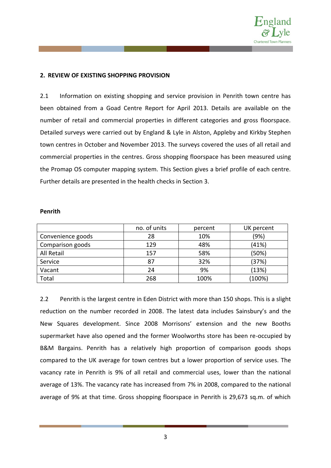

## **2. REVIEW OF EXISTING SHOPPING PROVISION**

2.1 Information on existing shopping and service provision in Penrith town centre has been obtained from a Goad Centre Report for April 2013. Details are available on the number of retail and commercial properties in different categories and gross floorspace. Detailed surveys were carried out by England & Lyle in Alston, Appleby and Kirkby Stephen town centres in October and November 2013. The surveys covered the uses of all retail and commercial properties in the centres. Gross shopping floorspace has been measured using the Promap OS computer mapping system. This Section gives a brief profile of each centre. Further details are presented in the health checks in Section 3.

#### **Penrith**

|                   | no. of units | percent | UK percent |
|-------------------|--------------|---------|------------|
| Convenience goods | 28           | 10%     | (9%)       |
| Comparison goods  | 129          | 48%     | (41%)      |
| All Retail        | 157          | 58%     | (50%)      |
| Service           | 87           | 32%     | (37%)      |
| Vacant            | 24           | 9%      | (13%)      |
| Total             | 268          | 100%    | (100%)     |

2.2 Penrith is the largest centre in Eden District with more than 150 shops. This is a slight reduction on the number recorded in 2008. The latest data includes Sainsbury's and the New Squares development. Since 2008 Morrisons' extension and the new Booths supermarket have also opened and the former Woolworths store has been re-occupied by B&M Bargains. Penrith has a relatively high proportion of comparison goods shops compared to the UK average for town centres but a lower proportion of service uses. The vacancy rate in Penrith is 9% of all retail and commercial uses, lower than the national average of 13%. The vacancy rate has increased from 7% in 2008, compared to the national average of 9% at that time. Gross shopping floorspace in Penrith is 29,673 sq.m. of which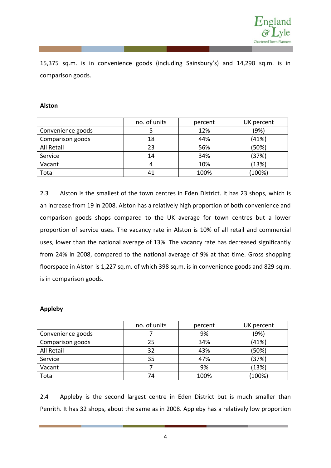

15,375 sq.m. is in convenience goods (including Sainsbury's) and 14,298 sq.m. is in comparison goods.

#### **Alston**

|                   | no. of units | percent | UK percent |
|-------------------|--------------|---------|------------|
| Convenience goods |              | 12%     | (9%)       |
| Comparison goods  | 18           | 44%     | (41%)      |
| All Retail        | 23           | 56%     | (50%)      |
| Service           | 14           | 34%     | (37%)      |
| Vacant            |              | 10%     | (13%)      |
| Total             |              | 100%    | (100%)     |

2.3 Alston is the smallest of the town centres in Eden District. It has 23 shops, which is an increase from 19 in 2008. Alston has a relatively high proportion of both convenience and comparison goods shops compared to the UK average for town centres but a lower proportion of service uses. The vacancy rate in Alston is 10% of all retail and commercial uses, lower than the national average of 13%. The vacancy rate has decreased significantly from 24% in 2008, compared to the national average of 9% at that time. Gross shopping floorspace in Alston is 1,227 sq.m. of which 398 sq.m. is in convenience goods and 829 sq.m. is in comparison goods.

## **Appleby**

|                   | no. of units | percent | UK percent |
|-------------------|--------------|---------|------------|
| Convenience goods |              | 9%      | (9%)       |
| Comparison goods  | 25           | 34%     | (41%)      |
| All Retail        | 32           | 43%     | (50%)      |
| Service           | 35           | 47%     | (37%)      |
| Vacant            |              | 9%      | (13%)      |
| Total             | 74           | 100%    | (100%)     |

2.4 Appleby is the second largest centre in Eden District but is much smaller than Penrith. It has 32 shops, about the same as in 2008. Appleby has a relatively low proportion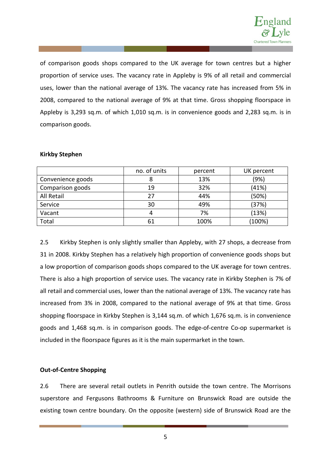

of comparison goods shops compared to the UK average for town centres but a higher proportion of service uses. The vacancy rate in Appleby is 9% of all retail and commercial uses, lower than the national average of 13%. The vacancy rate has increased from 5% in 2008, compared to the national average of 9% at that time. Gross shopping floorspace in Appleby is 3,293 sq.m. of which 1,010 sq.m. is in convenience goods and 2,283 sq.m. is in comparison goods.

|                   | no. of units | percent | UK percent |
|-------------------|--------------|---------|------------|
| Convenience goods |              | 13%     | (9%)       |
| Comparison goods  | 19           | 32%     | (41%)      |
| All Retail        | 27           | 44%     | (50%)      |
| Service           | 30           | 49%     | (37%)      |
| Vacant            | 4            | 7%      | (13%)      |
| Total             | 61           | 100%    | (100%)     |

## **Kirkby Stephen**

2.5 Kirkby Stephen is only slightly smaller than Appleby, with 27 shops, a decrease from 31 in 2008. Kirkby Stephen has a relatively high proportion of convenience goods shops but a low proportion of comparison goods shops compared to the UK average for town centres. There is also a high proportion of service uses. The vacancy rate in Kirkby Stephen is 7% of all retail and commercial uses, lower than the national average of 13%. The vacancy rate has increased from 3% in 2008, compared to the national average of 9% at that time. Gross shopping floorspace in Kirkby Stephen is 3,144 sq.m. of which 1,676 sq.m. is in convenience goods and 1,468 sq.m. is in comparison goods. The edge-of-centre Co-op supermarket is included in the floorspace figures as it is the main supermarket in the town.

#### **Out-of-Centre Shopping**

2.6 There are several retail outlets in Penrith outside the town centre. The Morrisons superstore and Fergusons Bathrooms & Furniture on Brunswick Road are outside the existing town centre boundary. On the opposite (western) side of Brunswick Road are the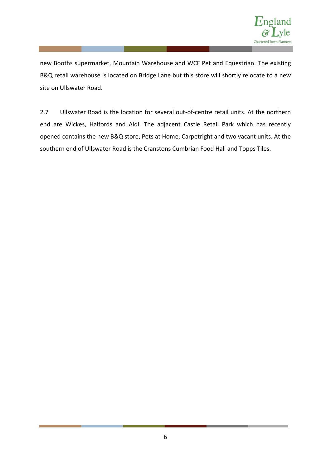

new Booths supermarket, Mountain Warehouse and WCF Pet and Equestrian. The existing B&Q retail warehouse is located on Bridge Lane but this store will shortly relocate to a new site on Ullswater Road.

2.7 Ullswater Road is the location for several out-of-centre retail units. At the northern end are Wickes, Halfords and Aldi. The adjacent Castle Retail Park which has recently opened contains the new B&Q store, Pets at Home, Carpetright and two vacant units. At the southern end of Ullswater Road is the Cranstons Cumbrian Food Hall and Topps Tiles.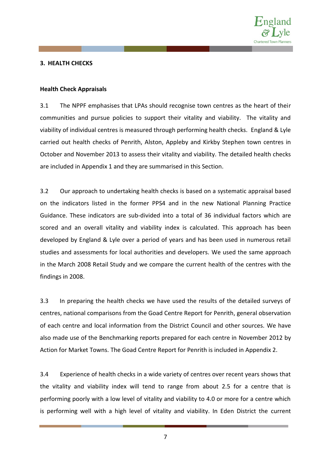

#### **3. HEALTH CHECKS**

#### **Health Check Appraisals**

3.1 The NPPF emphasises that LPAs should recognise town centres as the heart of their communities and pursue policies to support their vitality and viability. The vitality and viability of individual centres is measured through performing health checks. England & Lyle carried out health checks of Penrith, Alston, Appleby and Kirkby Stephen town centres in October and November 2013 to assess their vitality and viability. The detailed health checks are included in Appendix 1 and they are summarised in this Section.

3.2 Our approach to undertaking health checks is based on a systematic appraisal based on the indicators listed in the former PPS4 and in the new National Planning Practice Guidance. These indicators are sub-divided into a total of 36 individual factors which are scored and an overall vitality and viability index is calculated. This approach has been developed by England & Lyle over a period of years and has been used in numerous retail studies and assessments for local authorities and developers. We used the same approach in the March 2008 Retail Study and we compare the current health of the centres with the findings in 2008.

3.3 In preparing the health checks we have used the results of the detailed surveys of centres, national comparisons from the Goad Centre Report for Penrith, general observation of each centre and local information from the District Council and other sources. We have also made use of the Benchmarking reports prepared for each centre in November 2012 by Action for Market Towns. The Goad Centre Report for Penrith is included in Appendix 2.

3.4 Experience of health checks in a wide variety of centres over recent years shows that the vitality and viability index will tend to range from about 2.5 for a centre that is performing poorly with a low level of vitality and viability to 4.0 or more for a centre which is performing well with a high level of vitality and viability. In Eden District the current

7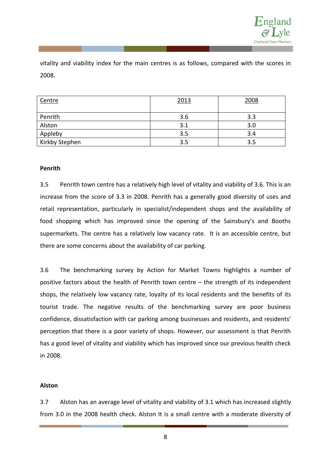

vitality and viability index for the main centres is as follows, compared with the scores in 2008.

| Centre         | 2013 | 2008 |
|----------------|------|------|
| Penrith        | 3.6  | 3.3  |
| Alston         | 3.1  | 3.0  |
| Appleby        | 3.5  | 3.4  |
| Kirkby Stephen | 3.5  | 3.5  |

#### **Penrith**

3.5 Penrith town centre has a relatively high level of vitality and viability of 3.6. This is an increase from the score of 3.3 in 2008. Penrith has a generally good diversity of uses and retail representation, particularly in specialist/independent shops and the availability of food shopping which has improved since the opening of the Sainsbury's and Booths supermarkets. The centre has a relatively low vacancy rate. It is an accessible centre, but there are some concerns about the availability of car parking.

3.6 The benchmarking survey by Action for Market Towns highlights a number of positive factors about the health of Penrith town centre – the strength of its independent shops, the relatively low vacancy rate, loyalty of its local residents and the benefits of its tourist trade. The negative results of the benchmarking survey are poor business confidence, dissatisfaction with car parking among businesses and residents, and residents' perception that there is a poor variety of shops. However, our assessment is that Penrith has a good level of vitality and viability which has improved since our previous health check in 2008.

#### **Alston**

3.7 Alston has an average level of vitality and viability of 3.1 which has increased slightly from 3.0 in the 2008 health check. Alston It is a small centre with a moderate diversity of

8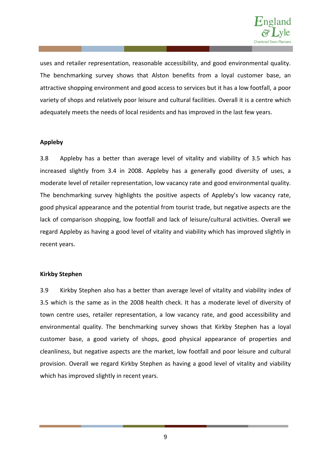

uses and retailer representation, reasonable accessibility, and good environmental quality. The benchmarking survey shows that Alston benefits from a loyal customer base, an attractive shopping environment and good access to services but it has a low footfall, a poor variety of shops and relatively poor leisure and cultural facilities. Overall it is a centre which adequately meets the needs of local residents and has improved in the last few years.

#### **Appleby**

3.8 Appleby has a better than average level of vitality and viability of 3.5 which has increased slightly from 3.4 in 2008. Appleby has a generally good diversity of uses, a moderate level of retailer representation, low vacancy rate and good environmental quality. The benchmarking survey highlights the positive aspects of Appleby's low vacancy rate, good physical appearance and the potential from tourist trade, but negative aspects are the lack of comparison shopping, low footfall and lack of leisure/cultural activities. Overall we regard Appleby as having a good level of vitality and viability which has improved slightly in recent years.

#### **Kirkby Stephen**

3.9 Kirkby Stephen also has a better than average level of vitality and viability index of 3.5 which is the same as in the 2008 health check. It has a moderate level of diversity of town centre uses, retailer representation, a low vacancy rate, and good accessibility and environmental quality. The benchmarking survey shows that Kirkby Stephen has a loyal customer base, a good variety of shops, good physical appearance of properties and cleanliness, but negative aspects are the market, low footfall and poor leisure and cultural provision. Overall we regard Kirkby Stephen as having a good level of vitality and viability which has improved slightly in recent years.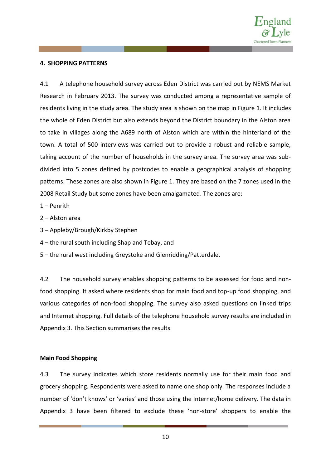

## **4. SHOPPING PATTERNS**

4.1 A telephone household survey across Eden District was carried out by NEMS Market Research in February 2013. The survey was conducted among a representative sample of residents living in the study area. The study area is shown on the map in Figure 1. It includes the whole of Eden District but also extends beyond the District boundary in the Alston area to take in villages along the A689 north of Alston which are within the hinterland of the town. A total of 500 interviews was carried out to provide a robust and reliable sample, taking account of the number of households in the survey area. The survey area was subdivided into 5 zones defined by postcodes to enable a geographical analysis of shopping patterns. These zones are also shown in Figure 1. They are based on the 7 zones used in the 2008 Retail Study but some zones have been amalgamated. The zones are:

1 – Penrith

2 – Alston area

- 3 Appleby/Brough/Kirkby Stephen
- 4 the rural south including Shap and Tebay, and
- 5 the rural west including Greystoke and Glenridding/Patterdale.

4.2 The household survey enables shopping patterns to be assessed for food and nonfood shopping. It asked where residents shop for main food and top-up food shopping, and various categories of non-food shopping. The survey also asked questions on linked trips and Internet shopping. Full details of the telephone household survey results are included in Appendix 3. This Section summarises the results.

#### **Main Food Shopping**

4.3 The survey indicates which store residents normally use for their main food and grocery shopping. Respondents were asked to name one shop only. The responses include a number of 'don't knows' or 'varies' and those using the Internet/home delivery. The data in Appendix 3 have been filtered to exclude these 'non-store' shoppers to enable the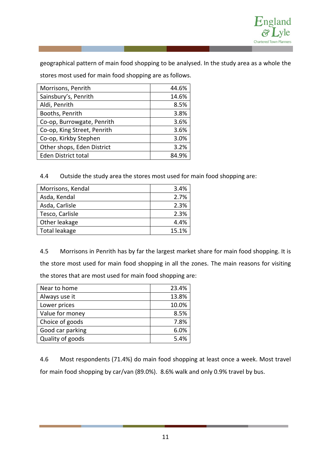

geographical pattern of main food shopping to be analysed. In the study area as a whole the

stores most used for main food shopping are as follows.

| Morrisons, Penrith          | 44.6% |
|-----------------------------|-------|
| Sainsbury's, Penrith        | 14.6% |
| Aldi, Penrith               | 8.5%  |
| Booths, Penrith             | 3.8%  |
| Co-op, Burrowgate, Penrith  | 3.6%  |
| Co-op, King Street, Penrith | 3.6%  |
| Co-op, Kirkby Stephen       | 3.0%  |
| Other shops, Eden District  | 3.2%  |
| <b>Eden District total</b>  | 84.9% |

4.4 Outside the study area the stores most used for main food shopping are:

| Morrisons, Kendal | 3.4%  |
|-------------------|-------|
| Asda, Kendal      | 2.7%  |
| Asda, Carlisle    | 2.3%  |
| Tesco, Carlisle   | 2.3%  |
| Other leakage     | 4.4%  |
| Total leakage     | 15.1% |

4.5 Morrisons in Penrith has by far the largest market share for main food shopping. It is the store most used for main food shopping in all the zones. The main reasons for visiting the stores that are most used for main food shopping are:

| Near to home     | 23.4% |
|------------------|-------|
| Always use it    | 13.8% |
| Lower prices     | 10.0% |
| Value for money  | 8.5%  |
| Choice of goods  | 7.8%  |
| Good car parking | 6.0%  |
| Quality of goods | 5.4%  |

4.6 Most respondents (71.4%) do main food shopping at least once a week. Most travel for main food shopping by car/van (89.0%). 8.6% walk and only 0.9% travel by bus.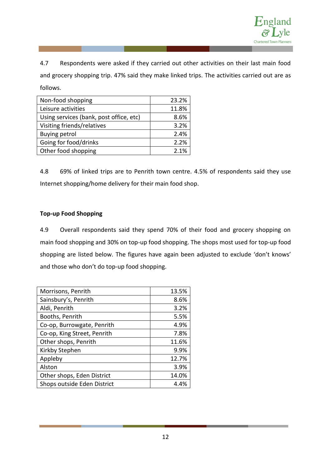

4.7 Respondents were asked if they carried out other activities on their last main food and grocery shopping trip. 47% said they make linked trips. The activities carried out are as follows.

| Non-food shopping                       | 23.2% |
|-----------------------------------------|-------|
| Leisure activities                      | 11.8% |
| Using services (bank, post office, etc) | 8.6%  |
| Visiting friends/relatives              | 3.2%  |
| <b>Buying petrol</b>                    | 2.4%  |
| Going for food/drinks                   | 2.2%  |
| Other food shopping                     | 2.1%  |

4.8 69% of linked trips are to Penrith town centre. 4.5% of respondents said they use Internet shopping/home delivery for their main food shop.

# **Top-up Food Shopping**

4.9 Overall respondents said they spend 70% of their food and grocery shopping on main food shopping and 30% on top-up food shopping. The shops most used for top-up food shopping are listed below. The figures have again been adjusted to exclude 'don't knows' and those who don't do top-up food shopping.

| Morrisons, Penrith          | 13.5% |
|-----------------------------|-------|
| Sainsbury's, Penrith        | 8.6%  |
| Aldi, Penrith               | 3.2%  |
| Booths, Penrith             | 5.5%  |
| Co-op, Burrowgate, Penrith  | 4.9%  |
| Co-op, King Street, Penrith | 7.8%  |
| Other shops, Penrith        | 11.6% |
| Kirkby Stephen              | 9.9%  |
| Appleby                     | 12.7% |
| Alston                      | 3.9%  |
| Other shops, Eden District  | 14.0% |
| Shops outside Eden District | 4.4%  |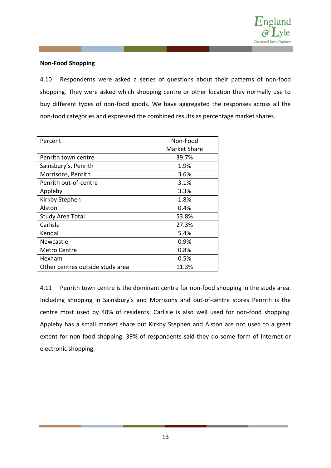

## **Non-Food Shopping**

4.10 Respondents were asked a series of questions about their patterns of non-food shopping. They were asked which shopping centre or other location they normally use to buy different types of non-food goods. We have aggregated the responses across all the non-food categories and expressed the combined results as percentage market shares.

| Percent                          | Non-Food     |
|----------------------------------|--------------|
|                                  | Market Share |
| Penrith town centre              | 39.7%        |
| Sainsbury's, Penrith             | 1.9%         |
| Morrisons, Penrith               | 3.6%         |
| Penrith out-of-centre            | 3.1%         |
| Appleby                          | 3.3%         |
| Kirkby Stephen                   | 1.8%         |
| Alston                           | 0.4%         |
| <b>Study Area Total</b>          | 53.8%        |
| Carlisle                         | 27.3%        |
| Kendal                           | 5.4%         |
| Newcastle                        | $0.9\%$      |
| Metro Centre                     | 0.8%         |
| Hexham                           | 0.5%         |
| Other centres outside study area | 11.3%        |

4.11 Penrith town centre is the dominant centre for non-food shopping in the study area. Including shopping in Sainsbury's and Morrisons and out-of-centre stores Penrith is the centre most used by 48% of residents. Carlisle is also well used for non-food shopping. Appleby has a small market share but Kirkby Stephen and Alston are not used to a great extent for non-food shopping. 39% of respondents said they do some form of Internet or electronic shopping.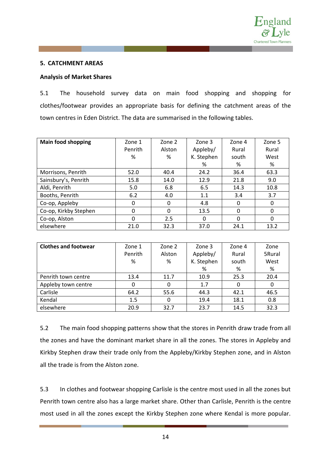

#### **5. CATCHMENT AREAS**

## **Analysis of Market Shares**

5.1 The household survey data on main food shopping and shopping for clothes/footwear provides an appropriate basis for defining the catchment areas of the town centres in Eden District. The data are summarised in the following tables.

| <b>Main food shopping</b> | Zone 1  | Zone 2   | Zone 3     | Zone 4   | Zone 5 |
|---------------------------|---------|----------|------------|----------|--------|
|                           | Penrith | Alston   | Appleby/   | Rural    | Rural  |
|                           | ℅       | %        | K. Stephen | south    | West   |
|                           |         |          | %          | %        | %      |
| Morrisons, Penrith        | 52.0    | 40.4     | 24.2       | 36.4     | 63.3   |
| Sainsbury's, Penrith      | 15.8    | 14.0     | 12.9       | 21.8     | 9.0    |
| Aldi, Penrith             | 5.0     | 6.8      | 6.5        | 14.3     | 10.8   |
| Booths, Penrith           | 6.2     | 4.0      | 1.1        | 3.4      | 3.7    |
| Co-op, Appleby            | 0       | $\Omega$ | 4.8        | $\Omega$ | 0      |
| Co-op, Kirkby Stephen     | 0       | $\Omega$ | 13.5       | $\Omega$ | 0      |
| Co-op, Alston             | 0       | 2.5      | 0          | $\Omega$ | 0      |
| elsewhere                 | 21.0    | 32.3     | 37.0       | 24.1     | 13.2   |

| <b>Clothes and footwear</b> | Zone 1  | Zone 2 | Zone 3     | Zone 4 | Zone   |
|-----------------------------|---------|--------|------------|--------|--------|
|                             | Penrith | Alston | Appleby/   | Rural  | 5Rural |
|                             | %       | %      | K. Stephen | south  | West   |
|                             |         |        | %          | %      | %      |
| Penrith town centre         | 13.4    | 11.7   | 10.9       | 25.3   | 20.4   |
| Appleby town centre         | 0       | 0      | 1.7        | 0      | 0      |
| Carlisle                    | 64.2    | 55.6   | 44.3       | 42.1   | 46.5   |
| Kendal                      | 1.5     | 0      | 19.4       | 18.1   | 0.8    |
| elsewhere                   | 20.9    | 32.7   | 23.7       | 14.5   | 32.3   |

5.2 The main food shopping patterns show that the stores in Penrith draw trade from all the zones and have the dominant market share in all the zones. The stores in Appleby and Kirkby Stephen draw their trade only from the Appleby/Kirkby Stephen zone, and in Alston all the trade is from the Alston zone.

5.3 In clothes and footwear shopping Carlisle is the centre most used in all the zones but Penrith town centre also has a large market share. Other than Carlisle, Penrith is the centre most used in all the zones except the Kirkby Stephen zone where Kendal is more popular.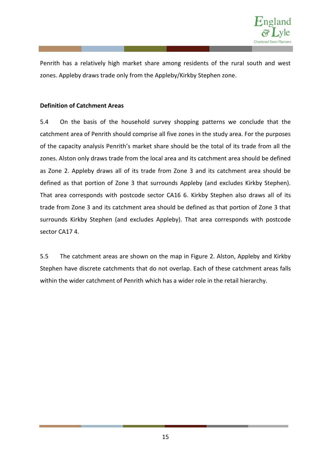

Penrith has a relatively high market share among residents of the rural south and west zones. Appleby draws trade only from the Appleby/Kirkby Stephen zone.

## **Definition of Catchment Areas**

5.4 On the basis of the household survey shopping patterns we conclude that the catchment area of Penrith should comprise all five zones in the study area. For the purposes of the capacity analysis Penrith's market share should be the total of its trade from all the zones. Alston only draws trade from the local area and its catchment area should be defined as Zone 2. Appleby draws all of its trade from Zone 3 and its catchment area should be defined as that portion of Zone 3 that surrounds Appleby (and excludes Kirkby Stephen). That area corresponds with postcode sector CA16 6. Kirkby Stephen also draws all of its trade from Zone 3 and its catchment area should be defined as that portion of Zone 3 that surrounds Kirkby Stephen (and excludes Appleby). That area corresponds with postcode sector CA17 4.

5.5 The catchment areas are shown on the map in Figure 2. Alston, Appleby and Kirkby Stephen have discrete catchments that do not overlap. Each of these catchment areas falls within the wider catchment of Penrith which has a wider role in the retail hierarchy.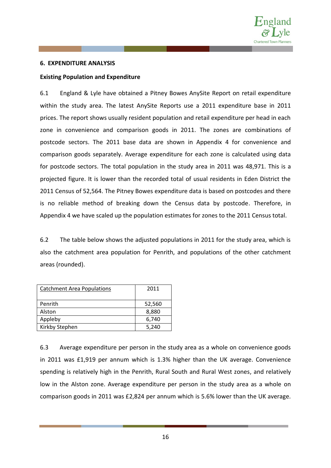

#### **6. EXPENDITURE ANALYSIS**

#### **Existing Population and Expenditure**

6.1 England & Lyle have obtained a Pitney Bowes AnySite Report on retail expenditure within the study area. The latest AnySite Reports use a 2011 expenditure base in 2011 prices. The report shows usually resident population and retail expenditure per head in each zone in convenience and comparison goods in 2011. The zones are combinations of postcode sectors. The 2011 base data are shown in Appendix 4 for convenience and comparison goods separately. Average expenditure for each zone is calculated using data for postcode sectors. The total population in the study area in 2011 was 48,971. This is a projected figure. It is lower than the recorded total of usual residents in Eden District the 2011 Census of 52,564. The Pitney Bowes expenditure data is based on postcodes and there is no reliable method of breaking down the Census data by postcode. Therefore, in Appendix 4 we have scaled up the population estimates for zones to the 2011 Census total.

6.2 The table below shows the adjusted populations in 2011 for the study area, which is also the catchment area population for Penrith, and populations of the other catchment areas (rounded).

| <b>Catchment Area Populations</b> | 2011   |
|-----------------------------------|--------|
| Penrith                           | 52,560 |
| Alston                            | 8,880  |
| Appleby                           | 6,740  |
| Kirkby Stephen                    | 5.240  |

6.3 Average expenditure per person in the study area as a whole on convenience goods in 2011 was £1,919 per annum which is 1.3% higher than the UK average. Convenience spending is relatively high in the Penrith, Rural South and Rural West zones, and relatively low in the Alston zone. Average expenditure per person in the study area as a whole on comparison goods in 2011 was £2,824 per annum which is 5.6% lower than the UK average.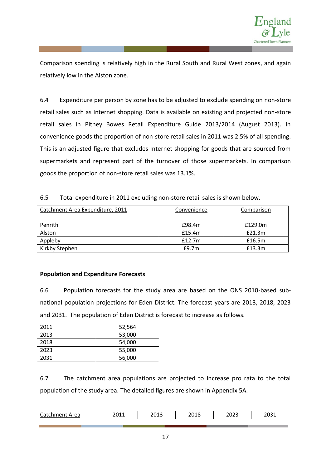

Comparison spending is relatively high in the Rural South and Rural West zones, and again relatively low in the Alston zone.

6.4 Expenditure per person by zone has to be adjusted to exclude spending on non-store retail sales such as Internet shopping. Data is available on existing and projected non-store retail sales in Pitney Bowes Retail Expenditure Guide 2013/2014 (August 2013). In convenience goods the proportion of non-store retail sales in 2011 was 2.5% of all spending. This is an adjusted figure that excludes Internet shopping for goods that are sourced from supermarkets and represent part of the turnover of those supermarkets. In comparison goods the proportion of non-store retail sales was 13.1%.

| 6.5 |  | Total expenditure in 2011 excluding non-store retail sales is shown below. |
|-----|--|----------------------------------------------------------------------------|
|-----|--|----------------------------------------------------------------------------|

| Catchment Area Expenditure, 2011 | Convenience | Comparison |
|----------------------------------|-------------|------------|
| Penrith                          | £98.4m      | £129.0m    |
| Alston                           | £15.4m      | £21.3m     |
| Appleby                          | £12.7m      | £16.5m     |
| Kirkby Stephen                   | E9.7m       | £13.3m     |

## **Population and Expenditure Forecasts**

6.6 Population forecasts for the study area are based on the ONS 2010-based subnational population projections for Eden District. The forecast years are 2013, 2018, 2023 and 2031. The population of Eden District is forecast to increase as follows.

| 2011 | 52,564 |
|------|--------|
| 2013 | 53,000 |
| 2018 | 54,000 |
| 2023 | 55,000 |
| 2031 | 56,000 |

6.7 The catchment area populations are projected to increase pro rata to the total population of the study area. The detailed figures are shown in Appendix 5A.

| $\overline{\phantom{0}}$<br>Area<br>- - - - - - -<br><u>д</u><br>ا دا ا<br>.<br>J٥ | 201<br>ᅀᅛᆂ | າດ4.<br>د⊥∪∠ | 2018<br>∠∪⊥∪<br>_____ | 2023 | nona<br>∠ບບ⊥ |
|------------------------------------------------------------------------------------|------------|--------------|-----------------------|------|--------------|
|                                                                                    |            |              |                       |      |              |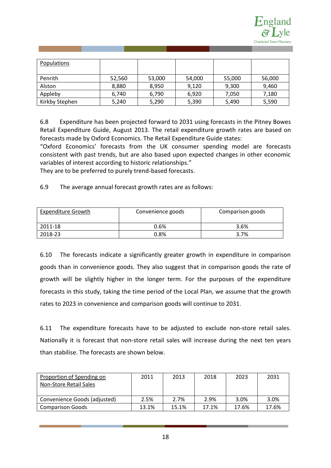

| Populations    |        |        |        |        |        |
|----------------|--------|--------|--------|--------|--------|
| Penrith        | 52,560 | 53,000 | 54,000 | 55,000 | 56,000 |
| Alston         | 8,880  | 8,950  | 9,120  | 9,300  | 9,460  |
| Appleby        | 6,740  | 6,790  | 6,920  | 7,050  | 7,180  |
| Kirkby Stephen | 5,240  | 5,290  | 5,390  | 5,490  | 5,590  |

6.8 Expenditure has been projected forward to 2031 using forecasts in the Pitney Bowes Retail Expenditure Guide, August 2013. The retail expenditure growth rates are based on forecasts made by Oxford Economics. The Retail Expenditure Guide states:

"Oxford Economics' forecasts from the UK consumer spending model are forecasts consistent with past trends, but are also based upon expected changes in other economic variables of interest according to historic relationships."

They are to be preferred to purely trend-based forecasts.

6.9 The average annual forecast growth rates are as follows:

| Expenditure Growth | Convenience goods | Comparison goods |
|--------------------|-------------------|------------------|
| 2011-18            | 0.6%              | 3.6%             |
| 2018-23            | $0.8\%$           | 3.7%             |

6.10 The forecasts indicate a significantly greater growth in expenditure in comparison goods than in convenience goods. They also suggest that in comparison goods the rate of growth will be slightly higher in the longer term. For the purposes of the expenditure forecasts in this study, taking the time period of the Local Plan, we assume that the growth rates to 2023 in convenience and comparison goods will continue to 2031.

6.11 The expenditure forecasts have to be adjusted to exclude non-store retail sales. Nationally it is forecast that non-store retail sales will increase during the next ten years than stabilise. The forecasts are shown below.

| Proportion of Spending on    | 2011  | 2013  | 2018  | 2023  | 2031  |
|------------------------------|-------|-------|-------|-------|-------|
| Non-Store Retail Sales       |       |       |       |       |       |
|                              |       |       |       |       |       |
| Convenience Goods (adjusted) | 2.5%  | 2.7%  | 2.9%  | 3.0%  | 3.0%  |
| <b>Comparison Goods</b>      | 13.1% | 15.1% | 17.1% | 17.6% | 17.6% |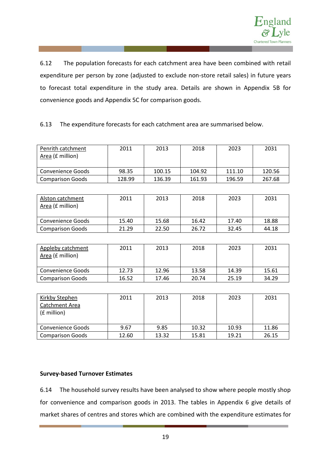

6.12 The population forecasts for each catchment area have been combined with retail expenditure per person by zone (adjusted to exclude non-store retail sales) in future years to forecast total expenditure in the study area. Details are shown in Appendix 5B for convenience goods and Appendix 5C for comparison goods.

## 6.13 The expenditure forecasts for each catchment area are summarised below.

| Penrith catchment<br>Area (£ million) | 2011   | 2013   | 2018   | 2023   | 2031   |
|---------------------------------------|--------|--------|--------|--------|--------|
| Convenience Goods                     | 98.35  | 100.15 | 104.92 | 111.10 | 120.56 |
| <b>Comparison Goods</b>               | 128.99 | 136.39 | 161.93 | 196.59 | 267.68 |

| Alston catchment<br>Area (£ million) | 2011  | 2013  | 2018  | 2023  | 2031  |
|--------------------------------------|-------|-------|-------|-------|-------|
| <b>Convenience Goods</b>             | 15.40 | 15.68 | 16.42 | 17.40 | 18.88 |
| <b>Comparison Goods</b>              | 21.29 | 22.50 | 26.72 | 32.45 | 44.18 |

| Appleby catchment<br>Area (£ million) | 2011  | 2013  | 2018  | 2023  | 2031  |
|---------------------------------------|-------|-------|-------|-------|-------|
| <b>Convenience Goods</b>              | 12.73 | 12.96 | 13.58 | 14.39 | 15.61 |
| <b>Comparison Goods</b>               | 16.52 | 17.46 | 20.74 | 25.19 | 34.29 |

| Kirkby Stephen<br>Catchment Area<br>(£ million) | 2011  | 2013  | 2018  | 2023  | 2031  |
|-------------------------------------------------|-------|-------|-------|-------|-------|
| <b>Convenience Goods</b>                        | 9.67  | 9.85  | 10.32 | 10.93 | 11.86 |
| <b>Comparison Goods</b>                         | 12.60 | 13.32 | 15.81 | 19.21 | 26.15 |

#### **Survey-based Turnover Estimates**

6.14 The household survey results have been analysed to show where people mostly shop for convenience and comparison goods in 2013. The tables in Appendix 6 give details of market shares of centres and stores which are combined with the expenditure estimates for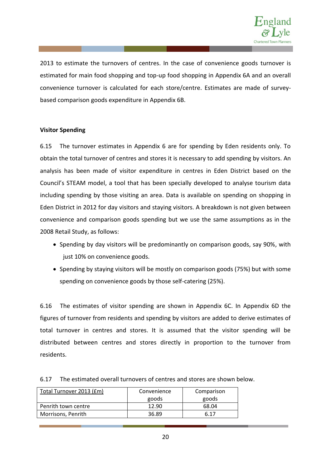

2013 to estimate the turnovers of centres. In the case of convenience goods turnover is estimated for main food shopping and top-up food shopping in Appendix 6A and an overall convenience turnover is calculated for each store/centre. Estimates are made of surveybased comparison goods expenditure in Appendix 6B.

#### **Visitor Spending**

6.15 The turnover estimates in Appendix 6 are for spending by Eden residents only. To obtain the total turnover of centres and stores it is necessary to add spending by visitors. An analysis has been made of visitor expenditure in centres in Eden District based on the Council's STEAM model, a tool that has been specially developed to analyse tourism data including spending by those visiting an area. Data is available on spending on shopping in Eden District in 2012 for day visitors and staying visitors. A breakdown is not given between convenience and comparison goods spending but we use the same assumptions as in the 2008 Retail Study, as follows:

- Spending by day visitors will be predominantly on comparison goods, say 90%, with just 10% on convenience goods.
- Spending by staying visitors will be mostly on comparison goods (75%) but with some spending on convenience goods by those self-catering (25%).

6.16 The estimates of visitor spending are shown in Appendix 6C. In Appendix 6D the figures of turnover from residents and spending by visitors are added to derive estimates of total turnover in centres and stores. It is assumed that the visitor spending will be distributed between centres and stores directly in proportion to the turnover from residents.

| Total Turnover 2013 (£m) | Convenience | Comparison |
|--------------------------|-------------|------------|
|                          | goods       | goods      |
| Penrith town centre      | 12.90       | 68.04      |
| Morrisons, Penrith       | 36.89       | 6 17       |

## 6.17 The estimated overall turnovers of centres and stores are shown below.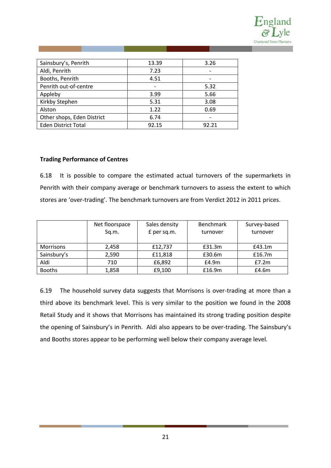

| Sainsbury's, Penrith       | 13.39 | 3.26  |
|----------------------------|-------|-------|
| Aldi, Penrith              | 7.23  |       |
| Booths, Penrith            | 4.51  |       |
| Penrith out-of-centre      |       | 5.32  |
| Appleby                    | 3.99  | 5.66  |
| Kirkby Stephen             | 5.31  | 3.08  |
| Alston                     | 1.22  | 0.69  |
| Other shops, Eden District | 6.74  | -     |
| <b>Eden District Total</b> | 92.15 | 92.21 |

## **Trading Performance of Centres**

6.18 It is possible to compare the estimated actual turnovers of the supermarkets in Penrith with their company average or benchmark turnovers to assess the extent to which stores are 'over-trading'. The benchmark turnovers are from Verdict 2012 in 2011 prices.

|                  | Net floorspace<br>Sq.m. | Sales density<br>£ per sq.m. | <b>Benchmark</b><br>turnover | Survey-based<br>turnover |
|------------------|-------------------------|------------------------------|------------------------------|--------------------------|
| <b>Morrisons</b> | 2,458                   | £12,737                      | £31.3m                       | £43.1m                   |
| Sainsbury's      | 2,590                   | £11,818                      | £30.6m                       | £16.7m                   |
| Aldi             | 710                     | £6,892                       | E4.9m                        | E7.2m                    |
| <b>Booths</b>    | 1,858                   | £9,100                       | £16.9m                       | £4.6m                    |

6.19 The household survey data suggests that Morrisons is over-trading at more than a third above its benchmark level. This is very similar to the position we found in the 2008 Retail Study and it shows that Morrisons has maintained its strong trading position despite the opening of Sainsbury's in Penrith. Aldi also appears to be over-trading. The Sainsbury's and Booths stores appear to be performing well below their company average level.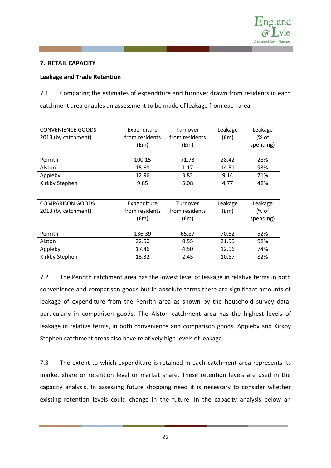

## **7. RETAIL CAPACITY**

## **Leakage and Trade Retention**

7.1 Comparing the estimates of expenditure and turnover drawn from residents in each catchment area enables an assessment to be made of leakage from each area.

| <b>CONVENIENCE GOODS</b><br>2013 (by catchment) | Expenditure<br>from residents<br>(fm) | Turnover<br>from residents<br>(fm) | Leakage<br>(fm) | Leakage<br>(% of<br>spending) |
|-------------------------------------------------|---------------------------------------|------------------------------------|-----------------|-------------------------------|
| Penrith                                         | 100.15                                | 71.73                              | 28.42           | 28%                           |
| Alston                                          | 15.68                                 | 1.17                               | 14.51           | 93%                           |
| Appleby                                         | 12.96                                 | 3.82                               | 9.14            | 71%                           |
| Kirkby Stephen                                  | 9.85                                  | 5.08                               | 4.77            | 48%                           |

| <b>COMPARISON GOODS</b><br>2013 (by catchment) | Expenditure<br>from residents<br>(fm) | Turnover<br>from residents<br>(fm) | Leakage<br>(fm) | Leakage<br>(% of<br>spending) |
|------------------------------------------------|---------------------------------------|------------------------------------|-----------------|-------------------------------|
| Penrith                                        | 136.39                                | 65.87                              | 70.52           | 52%                           |
| Alston                                         | 22.50                                 | 0.55                               | 21.95           | 98%                           |
| Appleby                                        | 17.46                                 | 4.50                               | 12.96           | 74%                           |
| Kirkby Stephen                                 | 13.32                                 | 2.45                               | 10.87           | 82%                           |

7.2 The Penrith catchment area has the lowest level of leakage in relative terms in both convenience and comparison goods but in absolute terms there are significant amounts of leakage of expenditure from the Penrith area as shown by the household survey data, particularly in comparison goods. The Alston catchment area has the highest levels of leakage in relative terms, in both convenience and comparison goods. Appleby and Kirkby Stephen catchment areas also have relatively high levels of leakage.

7.3 The extent to which expenditure is retained in each catchment area represents its market share or retention level or market share. These retention levels are used in the capacity analysis. In assessing future shopping need it is necessary to consider whether existing retention levels could change in the future. In the capacity analysis below an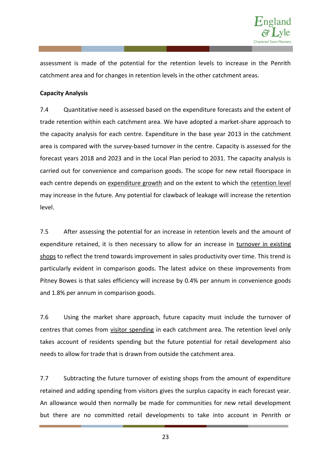

assessment is made of the potential for the retention levels to increase in the Penrith catchment area and for changes in retention levels in the other catchment areas.

## **Capacity Analysis**

7.4 Quantitative need is assessed based on the expenditure forecasts and the extent of trade retention within each catchment area. We have adopted a market-share approach to the capacity analysis for each centre. Expenditure in the base year 2013 in the catchment area is compared with the survey-based turnover in the centre. Capacity is assessed for the forecast years 2018 and 2023 and in the Local Plan period to 2031. The capacity analysis is carried out for convenience and comparison goods. The scope for new retail floorspace in each centre depends on expenditure growth and on the extent to which the retention level may increase in the future. Any potential for clawback of leakage will increase the retention level.

7.5 After assessing the potential for an increase in retention levels and the amount of expenditure retained, it is then necessary to allow for an increase in turnover in existing shops to reflect the trend towards improvement in sales productivity over time. This trend is particularly evident in comparison goods. The latest advice on these improvements from Pitney Bowes is that sales efficiency will increase by 0.4% per annum in convenience goods and 1.8% per annum in comparison goods.

7.6 Using the market share approach, future capacity must include the turnover of centres that comes from visitor spending in each catchment area. The retention level only takes account of residents spending but the future potential for retail development also needs to allow for trade that is drawn from outside the catchment area.

7.7 Subtracting the future turnover of existing shops from the amount of expenditure retained and adding spending from visitors gives the surplus capacity in each forecast year. An allowance would then normally be made for communities for new retail development but there are no committed retail developments to take into account in Penrith or

23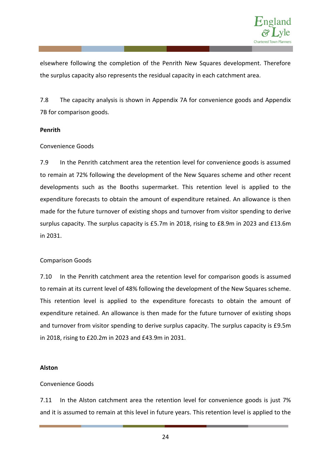

elsewhere following the completion of the Penrith New Squares development. Therefore the surplus capacity also represents the residual capacity in each catchment area.

7.8 The capacity analysis is shown in Appendix 7A for convenience goods and Appendix 7B for comparison goods.

#### **Penrith**

#### Convenience Goods

7.9 In the Penrith catchment area the retention level for convenience goods is assumed to remain at 72% following the development of the New Squares scheme and other recent developments such as the Booths supermarket. This retention level is applied to the expenditure forecasts to obtain the amount of expenditure retained. An allowance is then made for the future turnover of existing shops and turnover from visitor spending to derive surplus capacity. The surplus capacity is £5.7m in 2018, rising to £8.9m in 2023 and £13.6m in 2031.

#### Comparison Goods

7.10 In the Penrith catchment area the retention level for comparison goods is assumed to remain at its current level of 48% following the development of the New Squares scheme. This retention level is applied to the expenditure forecasts to obtain the amount of expenditure retained. An allowance is then made for the future turnover of existing shops and turnover from visitor spending to derive surplus capacity. The surplus capacity is £9.5m in 2018, rising to £20.2m in 2023 and £43.9m in 2031.

#### **Alston**

#### Convenience Goods

7.11 In the Alston catchment area the retention level for convenience goods is just 7% and it is assumed to remain at this level in future years. This retention level is applied to the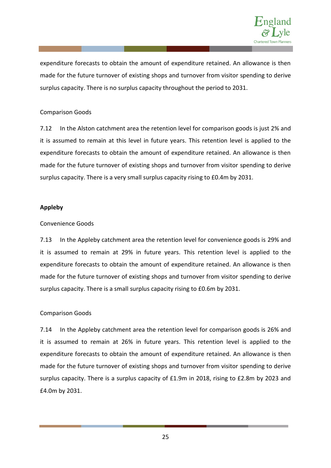

expenditure forecasts to obtain the amount of expenditure retained. An allowance is then made for the future turnover of existing shops and turnover from visitor spending to derive surplus capacity. There is no surplus capacity throughout the period to 2031.

## Comparison Goods

7.12 In the Alston catchment area the retention level for comparison goods is just 2% and it is assumed to remain at this level in future years. This retention level is applied to the expenditure forecasts to obtain the amount of expenditure retained. An allowance is then made for the future turnover of existing shops and turnover from visitor spending to derive surplus capacity. There is a very small surplus capacity rising to £0.4m by 2031.

## **Appleby**

## Convenience Goods

7.13 In the Appleby catchment area the retention level for convenience goods is 29% and it is assumed to remain at 29% in future years. This retention level is applied to the expenditure forecasts to obtain the amount of expenditure retained. An allowance is then made for the future turnover of existing shops and turnover from visitor spending to derive surplus capacity. There is a small surplus capacity rising to £0.6m by 2031.

## Comparison Goods

7.14 In the Appleby catchment area the retention level for comparison goods is 26% and it is assumed to remain at 26% in future years. This retention level is applied to the expenditure forecasts to obtain the amount of expenditure retained. An allowance is then made for the future turnover of existing shops and turnover from visitor spending to derive surplus capacity. There is a surplus capacity of £1.9m in 2018, rising to £2.8m by 2023 and £4.0m by 2031.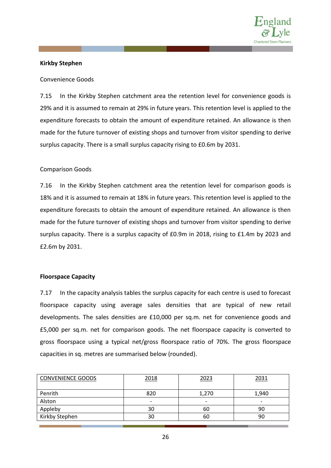

#### **Kirkby Stephen**

#### Convenience Goods

7.15 In the Kirkby Stephen catchment area the retention level for convenience goods is 29% and it is assumed to remain at 29% in future years. This retention level is applied to the expenditure forecasts to obtain the amount of expenditure retained. An allowance is then made for the future turnover of existing shops and turnover from visitor spending to derive surplus capacity. There is a small surplus capacity rising to £0.6m by 2031.

#### Comparison Goods

7.16 In the Kirkby Stephen catchment area the retention level for comparison goods is 18% and it is assumed to remain at 18% in future years. This retention level is applied to the expenditure forecasts to obtain the amount of expenditure retained. An allowance is then made for the future turnover of existing shops and turnover from visitor spending to derive surplus capacity. There is a surplus capacity of £0.9m in 2018, rising to £1.4m by 2023 and £2.6m by 2031.

#### **Floorspace Capacity**

7.17 In the capacity analysis tables the surplus capacity for each centre is used to forecast floorspace capacity using average sales densities that are typical of new retail developments. The sales densities are £10,000 per sq.m. net for convenience goods and £5,000 per sq.m. net for comparison goods. The net floorspace capacity is converted to gross floorspace using a typical net/gross floorspace ratio of 70%. The gross floorspace capacities in sq. metres are summarised below (rounded).

| <b>CONVENIENCE GOODS</b> | 2018                     | <u> 2023</u>             | 2031                     |
|--------------------------|--------------------------|--------------------------|--------------------------|
| Penrith                  | 820                      | 1,270                    | 1,940                    |
| Alston                   | $\overline{\phantom{0}}$ | $\overline{\phantom{0}}$ | $\overline{\phantom{0}}$ |
| Appleby                  | 30                       | 60                       | 90                       |
| Kirkby Stephen           | 30                       | 60                       | 90                       |
|                          |                          |                          |                          |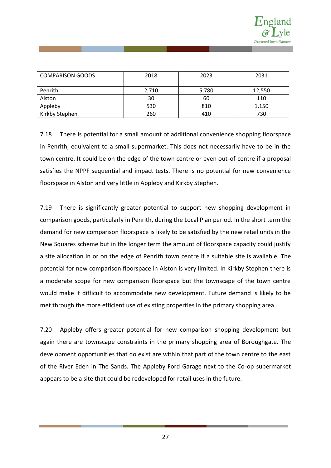

| <b>COMPARISON GOODS</b> | 2018  | 2023  | 2031   |
|-------------------------|-------|-------|--------|
| Penrith                 | 2,710 | 5,780 | 12,550 |
| Alston                  | 30    | 60    | 110    |
| Appleby                 | 530   | 810   | 1,150  |
| Kirkby Stephen          | 260   | 410   | 730    |

7.18 There is potential for a small amount of additional convenience shopping floorspace in Penrith, equivalent to a small supermarket. This does not necessarily have to be in the town centre. It could be on the edge of the town centre or even out-of-centre if a proposal satisfies the NPPF sequential and impact tests. There is no potential for new convenience floorspace in Alston and very little in Appleby and Kirkby Stephen.

7.19 There is significantly greater potential to support new shopping development in comparison goods, particularly in Penrith, during the Local Plan period. In the short term the demand for new comparison floorspace is likely to be satisfied by the new retail units in the New Squares scheme but in the longer term the amount of floorspace capacity could justify a site allocation in or on the edge of Penrith town centre if a suitable site is available. The potential for new comparison floorspace in Alston is very limited. In Kirkby Stephen there is a moderate scope for new comparison floorspace but the townscape of the town centre would make it difficult to accommodate new development. Future demand is likely to be met through the more efficient use of existing properties in the primary shopping area.

7.20 Appleby offers greater potential for new comparison shopping development but again there are townscape constraints in the primary shopping area of Boroughgate. The development opportunities that do exist are within that part of the town centre to the east of the River Eden in The Sands. The Appleby Ford Garage next to the Co-op supermarket appears to be a site that could be redeveloped for retail uses in the future.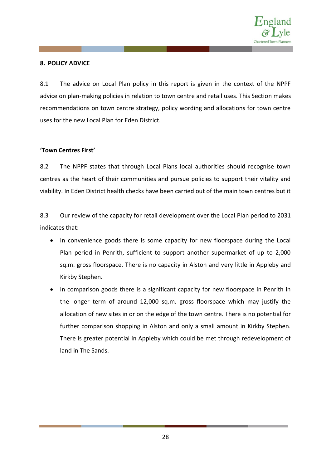

## **8. POLICY ADVICE**

8.1 The advice on Local Plan policy in this report is given in the context of the NPPF advice on plan-making policies in relation to town centre and retail uses. This Section makes recommendations on town centre strategy, policy wording and allocations for town centre uses for the new Local Plan for Eden District.

## **'Town Centres First'**

8.2 The NPPF states that through Local Plans local authorities should recognise town centres as the heart of their communities and pursue policies to support their vitality and viability. In Eden District health checks have been carried out of the main town centres but it

8.3 Our review of the capacity for retail development over the Local Plan period to 2031 indicates that:

- In convenience goods there is some capacity for new floorspace during the Local Plan period in Penrith, sufficient to support another supermarket of up to 2,000 sq.m. gross floorspace. There is no capacity in Alston and very little in Appleby and Kirkby Stephen.
- In comparison goods there is a significant capacity for new floorspace in Penrith in the longer term of around 12,000 sq.m. gross floorspace which may justify the allocation of new sites in or on the edge of the town centre. There is no potential for further comparison shopping in Alston and only a small amount in Kirkby Stephen. There is greater potential in Appleby which could be met through redevelopment of land in The Sands.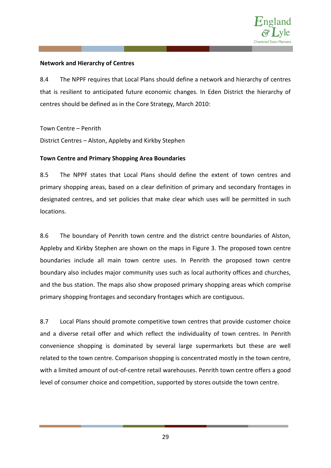

## **Network and Hierarchy of Centres**

8.4 The NPPF requires that Local Plans should define a network and hierarchy of centres that is resilient to anticipated future economic changes. In Eden District the hierarchy of centres should be defined as in the Core Strategy, March 2010:

Town Centre – Penrith

District Centres – Alston, Appleby and Kirkby Stephen

## **Town Centre and Primary Shopping Area Boundaries**

8.5 The NPPF states that Local Plans should define the extent of town centres and primary shopping areas, based on a clear definition of primary and secondary frontages in designated centres, and set policies that make clear which uses will be permitted in such locations.

8.6 The boundary of Penrith town centre and the district centre boundaries of Alston, Appleby and Kirkby Stephen are shown on the maps in Figure 3. The proposed town centre boundaries include all main town centre uses. In Penrith the proposed town centre boundary also includes major community uses such as local authority offices and churches, and the bus station. The maps also show proposed primary shopping areas which comprise primary shopping frontages and secondary frontages which are contiguous.

8.7 Local Plans should promote competitive town centres that provide customer choice and a diverse retail offer and which reflect the individuality of town centres. In Penrith convenience shopping is dominated by several large supermarkets but these are well related to the town centre. Comparison shopping is concentrated mostly in the town centre, with a limited amount of out-of-centre retail warehouses. Penrith town centre offers a good level of consumer choice and competition, supported by stores outside the town centre.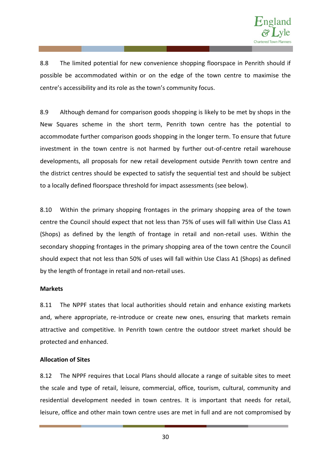

8.8 The limited potential for new convenience shopping floorspace in Penrith should if possible be accommodated within or on the edge of the town centre to maximise the centre's accessibility and its role as the town's community focus.

8.9 Although demand for comparison goods shopping is likely to be met by shops in the New Squares scheme in the short term, Penrith town centre has the potential to accommodate further comparison goods shopping in the longer term. To ensure that future investment in the town centre is not harmed by further out-of-centre retail warehouse developments, all proposals for new retail development outside Penrith town centre and the district centres should be expected to satisfy the sequential test and should be subject to a locally defined floorspace threshold for impact assessments (see below).

8.10 Within the primary shopping frontages in the primary shopping area of the town centre the Council should expect that not less than 75% of uses will fall within Use Class A1 (Shops) as defined by the length of frontage in retail and non-retail uses. Within the secondary shopping frontages in the primary shopping area of the town centre the Council should expect that not less than 50% of uses will fall within Use Class A1 (Shops) as defined by the length of frontage in retail and non-retail uses.

#### **Markets**

8.11 The NPPF states that local authorities should retain and enhance existing markets and, where appropriate, re-introduce or create new ones, ensuring that markets remain attractive and competitive. In Penrith town centre the outdoor street market should be protected and enhanced.

## **Allocation of Sites**

8.12 The NPPF requires that Local Plans should allocate a range of suitable sites to meet the scale and type of retail, leisure, commercial, office, tourism, cultural, community and residential development needed in town centres. It is important that needs for retail, leisure, office and other main town centre uses are met in full and are not compromised by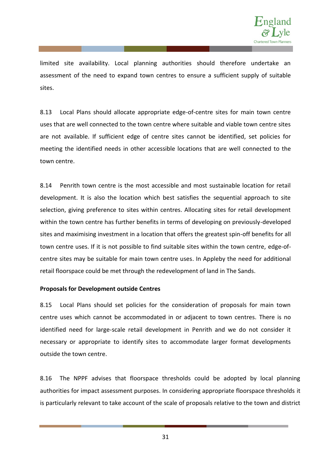

limited site availability. Local planning authorities should therefore undertake an assessment of the need to expand town centres to ensure a sufficient supply of suitable sites.

8.13 Local Plans should allocate appropriate edge-of-centre sites for main town centre uses that are well connected to the town centre where suitable and viable town centre sites are not available. If sufficient edge of centre sites cannot be identified, set policies for meeting the identified needs in other accessible locations that are well connected to the town centre.

8.14 Penrith town centre is the most accessible and most sustainable location for retail development. It is also the location which best satisfies the sequential approach to site selection, giving preference to sites within centres. Allocating sites for retail development within the town centre has further benefits in terms of developing on previously-developed sites and maximising investment in a location that offers the greatest spin-off benefits for all town centre uses. If it is not possible to find suitable sites within the town centre, edge-ofcentre sites may be suitable for main town centre uses. In Appleby the need for additional retail floorspace could be met through the redevelopment of land in The Sands.

#### **Proposals for Development outside Centres**

8.15 Local Plans should set policies for the consideration of proposals for main town centre uses which cannot be accommodated in or adjacent to town centres. There is no identified need for large-scale retail development in Penrith and we do not consider it necessary or appropriate to identify sites to accommodate larger format developments outside the town centre.

8.16 The NPPF advises that floorspace thresholds could be adopted by local planning authorities for impact assessment purposes. In considering appropriate floorspace thresholds it is particularly relevant to take account of the scale of proposals relative to the town and district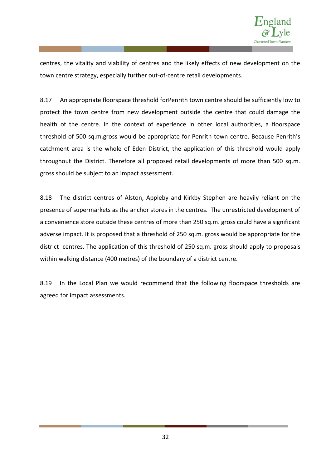

centres, the vitality and viability of centres and the likely effects of new development on the town centre strategy, especially further out-of-centre retail developments.

8.17 An appropriate floorspace threshold forPenrith town centre should be sufficiently low to protect the town centre from new development outside the centre that could damage the health of the centre. In the context of experience in other local authorities, a floorspace threshold of 500 sq.m.gross would be appropriate for Penrith town centre. Because Penrith's catchment area is the whole of Eden District, the application of this threshold would apply throughout the District. Therefore all proposed retail developments of more than 500 sq.m. gross should be subject to an impact assessment.

8.18 The district centres of Alston, Appleby and Kirkby Stephen are heavily reliant on the presence of supermarkets as the anchor stores in the centres. The unrestricted development of a convenience store outside these centres of more than 250 sq.m. gross could have a significant adverse impact. It is proposed that a threshold of 250 sq.m. gross would be appropriate for the district centres. The application of this threshold of 250 sq.m. gross should apply to proposals within walking distance (400 metres) of the boundary of a district centre.

8.19 In the Local Plan we would recommend that the following floorspace thresholds are agreed for impact assessments.